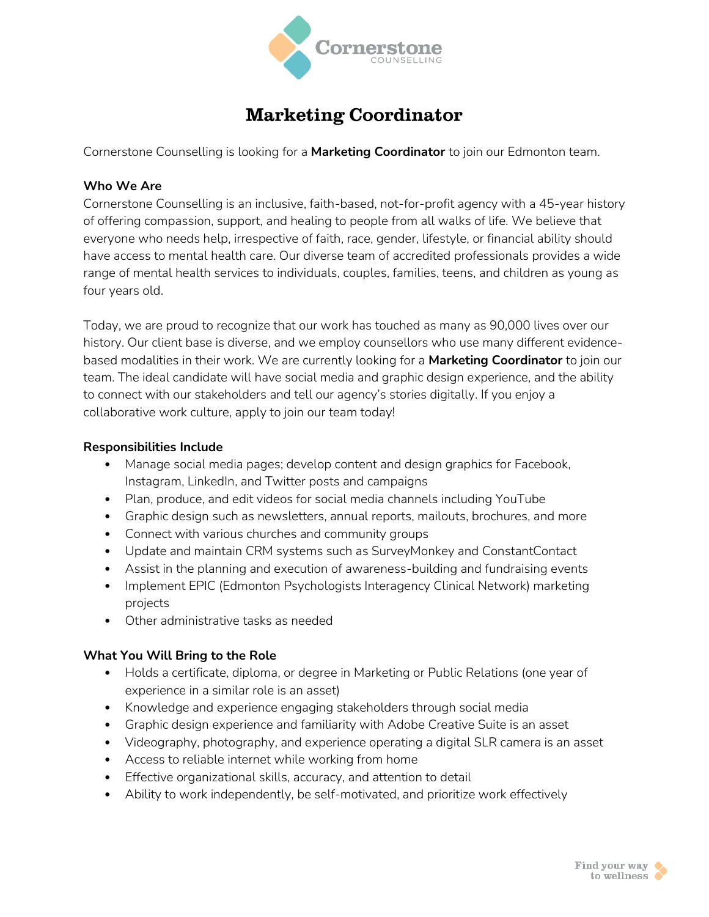

# **Marketing Coordinator**

Cornerstone Counselling is looking for a **Marketing Coordinator** to join our Edmonton team.

### **Who We Are**

Cornerstone Counselling is an inclusive, faith-based, not-for-profit agency with a 45-year history of offering compassion, support, and healing to people from all walks of life. We believe that everyone who needs help, irrespective of faith, race, gender, lifestyle, or financial ability should have access to mental health care. Our diverse team of accredited professionals provides a wide range of mental health services to individuals, couples, families, teens, and children as young as four years old.

Today, we are proud to recognize that our work has touched as many as 90,000 lives over our history. Our client base is diverse, and we employ counsellors who use many different evidencebased modalities in their work. We are currently looking for a **Marketing Coordinator** to join our team. The ideal candidate will have social media and graphic design experience, and the ability to connect with our stakeholders and tell our agency's stories digitally. If you enjoy a collaborative work culture, apply to join our team today!

#### **Responsibilities Include**

- Manage social media pages; develop content and design graphics for Facebook, Instagram, LinkedIn, and Twitter posts and campaigns
- Plan, produce, and edit videos for social media channels including YouTube
- Graphic design such as newsletters, annual reports, mailouts, brochures, and more
- Connect with various churches and community groups
- Update and maintain CRM systems such as SurveyMonkey and ConstantContact
- Assist in the planning and execution of awareness-building and fundraising events
- Implement EPIC (Edmonton Psychologists Interagency Clinical Network) marketing projects
- Other administrative tasks as needed

#### **What You Will Bring to the Role**

- Holds a certificate, diploma, or degree in Marketing or Public Relations (one year of experience in a similar role is an asset)
- Knowledge and experience engaging stakeholders through social media
- Graphic design experience and familiarity with Adobe Creative Suite is an asset
- Videography, photography, and experience operating a digital SLR camera is an asset
- Access to reliable internet while working from home
- Effective organizational skills, accuracy, and attention to detail
- Ability to work independently, be self-motivated, and prioritize work effectively